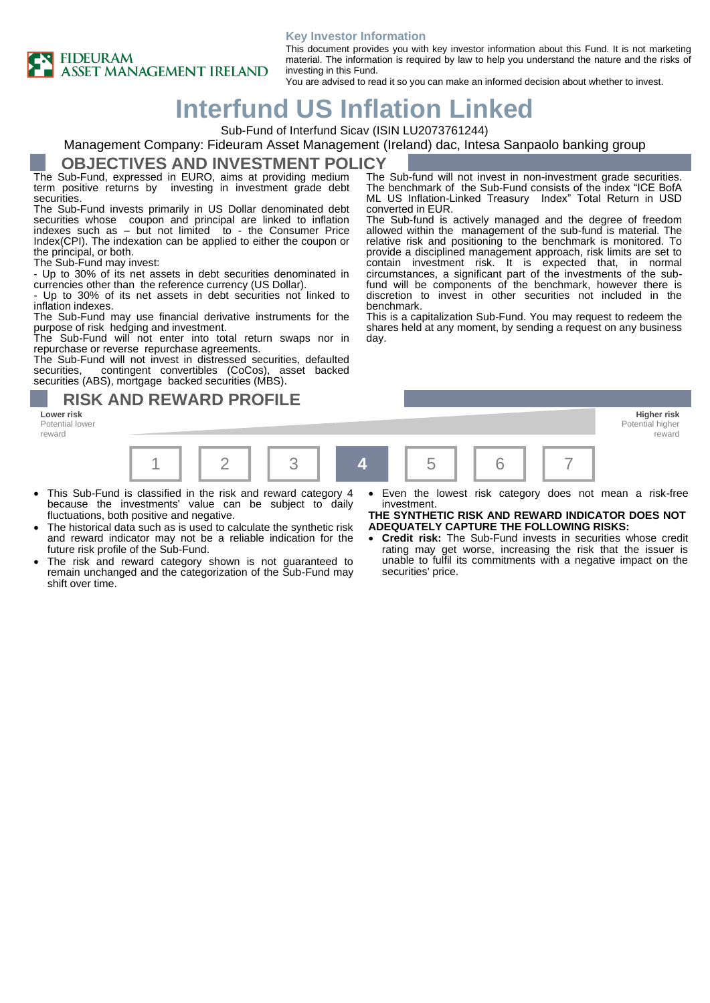#### **Key Investor Information**



This document provides you with key investor information about this Fund. It is not marketing material. The information is required by law to help you understand the nature and the risks of investing in this Fund.

You are advised to read it so you can make an informed decision about whether to invest.

# **Interfund US Inflation Linked**

Sub-Fund of Interfund Sicav (ISIN LU2073761244)

#### Management Company: Fideuram Asset Management (Ireland) dac, Intesa Sanpaolo banking group

#### **OBJECTIVES AND INVESTMENT POLICY**

The Sub-Fund, expressed in EURO, aims at providing medium term positive returns by investing in investment grade debt **securities** 

The Sub-Fund invests primarily in US Dollar denominated debt securities whose coupon and principal are linked to inflation indexes such as – but not limited to - the Consumer Price Index(CPI). The indexation can be applied to either the coupon or the principal, or both.

The Sub-Fund may invest:

- Up to 30% of its net assets in debt securities denominated in currencies other than the reference currency (US Dollar).

- Up to 30% of its net assets in debt securities not linked to inflation indexes.

The Sub-Fund may use financial derivative instruments for the purpose of risk hedging and investment.

The Sub-Fund will not enter into total return swaps nor in repurchase or reverse repurchase agreements.

The Sub-Fund will not invest in distressed securities, defaulted securities, contingent convertibles (CoCos), asset backed contingent convertibles (CoCos), asset backed securities (ABS), mortgage backed securities (MBS).

### **RISK AND REWARD PROFILE**

**Lower risk Higher risk** Potential lower reward



- This Sub-Fund is classified in the risk and reward category 4 because the investments' value can be subject to daily fluctuations, both positive and negative.
- The historical data such as is used to calculate the synthetic risk and reward indicator may not be a reliable indication for the future risk profile of the Sub-Fund.
- The risk and reward category shown is not guaranteed to remain unchanged and the categorization of the Sub-Fund may shift over time.

The Sub-fund will not invest in non-investment grade securities. The benchmark of the Sub-Fund consists of the index "ICE BofA ML US Inflation-Linked Treasury Index" Total Return in USD converted in EUR.

The Sub-fund is actively managed and the degree of freedom allowed within the management of the sub-fund is material. The relative risk and positioning to the benchmark is monitored. To provide a disciplined management approach, risk limits are set to contain investment risk. It is expected that, in normal circumstances, a significant part of the investments of the subfund will be components of the benchmark, however there is discretion to invest in other securities not included in the benchmark.

This is a capitalization Sub-Fund. You may request to redeem the shares held at any moment, by sending a request on any business day.

Even the lowest risk category does not mean a risk-free investment. **THE SYNTHETIC RISK AND REWARD INDICATOR DOES NOT** 

reward

- **ADEQUATELY CAPTURE THE FOLLOWING RISKS:**
- **Credit risk:** The Sub-Fund invests in securities whose credit rating may get worse, increasing the risk that the issuer is unable to fulfil its commitments with a negative impact on the securities' price.